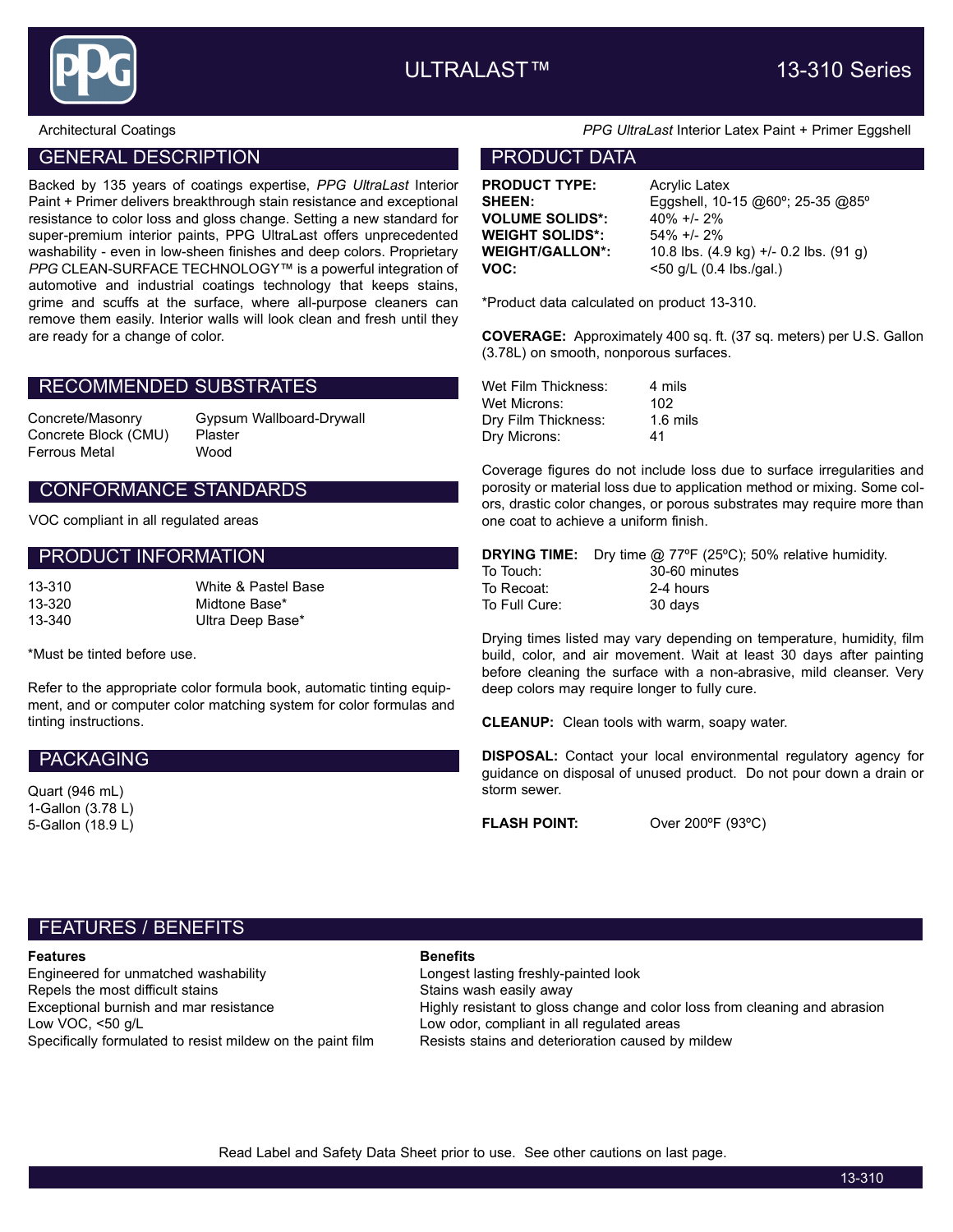

## GENERAL DESCRIPTION **EXAMPLE 20 INCREASE AND RESERVE THE PRODUCT DATA**

Backed by 135 years of coatings expertise, PPG UltraLast Interior Paint + Primer delivers breakthrough stain resistance and exceptional resistance to color loss and gloss change. Setting a new standard for super-premium interior paints, PPG UltraLast offers unprecedented washability - even in low-sheen finishes and deep colors. Proprietary PPG CLEAN-SURFACE TECHNOLOGY™ is a powerful integration of automotive and industrial coatings technology that keeps stains, grime and scuffs at the surface, where all-purpose cleaners can remove them easily. Interior walls will look clean and fresh until they are ready for a change of color.

### RECOMMENDED SUBSTRATES

Concrete Block (CMU) Plaster Ferrous Metal Wood

Concrete/Masonry Gypsum Wallboard-Drywall

### CONFORMANCE STANDARDS

VOC compliant in all regulated areas

#### PRODUCT INFORMATION

| $3 - 310$ |  |  |
|-----------|--|--|
| $3 - 320$ |  |  |
| $3 - 340$ |  |  |

\*Must be tinted before use.

Refer to the appropriate color formula book, automatic tinting equipment, and or computer color matching system for color formulas and tinting instructions.

White & Pastel Base Midtone Base\* Ultra Deep Base\*

#### PACKAGING

Quart (946 mL) 1-Gallon (3.78 L) 5-Gallon (18.9 L)

#### Architectural Coatings **PRG UltraLast Interior Latex Paint + Primer Eggshell**

**PRODUCT TYPE:** Acrylic Latex VOLUME SOLIDS\*: 40% +/- 2% WEIGHT SOLIDS\*: 54% +/- 2%

**SHEEN:** Eggshell, 10-15 @60°; 25-35 @85° WEIGHT/GALLON\*: 10.8 lbs. (4.9 kg) +/- 0.2 lbs. (91 g) **VOC:**  $< 50$  g/L (0.4 lbs./gal.)

\*Product data calculated on product 13-310.

COVERAGE: Approximately 400 sq. ft. (37 sq. meters) per U.S. Gallon (3.78L) on smooth, nonporous surfaces.

| Wet Film Thickness: | 4 mils              |
|---------------------|---------------------|
| Wet Microns:        | 102                 |
| Dry Film Thickness: | $1.6 \text{ miles}$ |
| Dry Microns:        | 41                  |

Coverage figures do not include loss due to surface irregularities and porosity or material loss due to application method or mixing. Some colors, drastic color changes, or porous substrates may require more than one coat to achieve a uniform finish.

|               | <b>DRYING TIME:</b> Dry time @ 77°F (25°C); 50% relative humidity. |
|---------------|--------------------------------------------------------------------|
| To Touch:     | 30-60 minutes                                                      |
| To Recoat:    | 2-4 hours                                                          |
| To Full Cure: | 30 davs                                                            |

Drying times listed may vary depending on temperature, humidity, film build, color, and air movement. Wait at least 30 days after painting before cleaning the surface with a non-abrasive, mild cleanser. Very deep colors may require longer to fully cure.

CLEANUP: Clean tools with warm, soapy water.

DISPOSAL: Contact your local environmental regulatory agency for guidance on disposal of unused product. Do not pour down a drain or storm sewer.

FLASH POINT: Over 200°F (93°C)

# FEATURES / BENEFITS

### **Features Benefits**

Engineered for unmatched washability Longest lasting freshly-painted look Repels the most difficult stains and many stains wash easily away<br>Exceptional burnish and mar resistance and the Highly resistant to gloss Low VOC, <50 g/L Low odor, compliant in all regulated areas Specifically formulated to resist mildew on the paint film Resists stains and deterioration caused by mildew

Highly resistant to gloss change and color loss from cleaning and abrasion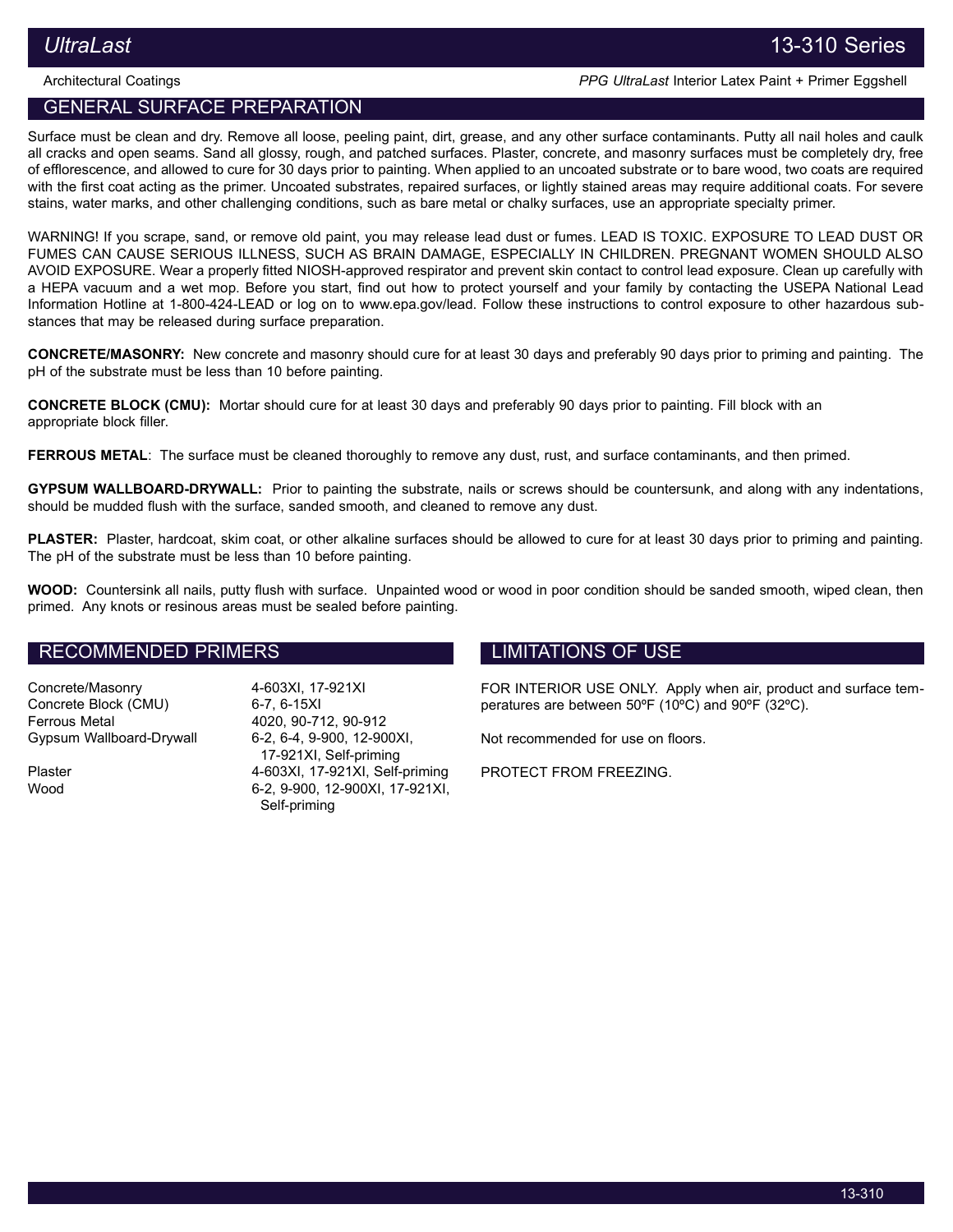Architectural Coatings **PPG UltraLast Interior Latex Paint + Primer Eggshell** 

# GENERAL SURFACE PREPARATION

Surface must be clean and dry. Remove all loose, peeling paint, dirt, grease, and any other surface contaminants. Putty all nail holes and caulk all cracks and open seams. Sand all glossy, rough, and patched surfaces. Plaster, concrete, and masonry surfaces must be completely dry, free of efflorescence, and allowed to cure for 30 days prior to painting. When applied to an uncoated substrate or to bare wood, two coats are required with the first coat acting as the primer. Uncoated substrates, repaired surfaces, or lightly stained areas may require additional coats. For severe stains, water marks, and other challenging conditions, such as bare metal or chalky surfaces, use an appropriate specialty primer.

WARNING! If you scrape, sand, or remove old paint, you may release lead dust or fumes. LEAD IS TOXIC. EXPOSURE TO LEAD DUST OR FUMES CAN CAUSE SERIOUS ILLNESS, SUCH AS BRAIN DAMAGE, ESPECIALLY IN CHILDREN. PREGNANT WOMEN SHOULD ALSO AVOID EXPOSURE. Wear a properly fitted NIOSH-approved respirator and prevent skin contact to control lead exposure. Clean up carefully with a HEPA vacuum and a wet mop. Before you start, find out how to protect yourself and your family by contacting the USEPA National Lead Information Hotline at 1‑800‑424‑LEAD or log on to www.epa.gov/lead. Follow these instructions to control exposure to other hazardous substances that may be released during surface preparation.

CONCRETE/MASONRY: New concrete and masonry should cure for at least 30 days and preferably 90 days prior to priming and painting. The pH of the substrate must be less than 10 before painting.

CONCRETE BLOCK (CMU): Mortar should cure for at least 30 days and preferably 90 days prior to painting. Fill block with an appropriate block filler.

FERROUS METAL: The surface must be cleaned thoroughly to remove any dust, rust, and surface contaminants, and then primed.

GYPSUM WALLBOARD-DRYWALL: Prior to painting the substrate, nails or screws should be countersunk, and along with any indentations, should be mudded flush with the surface, sanded smooth, and cleaned to remove any dust.

PLASTER: Plaster, hardcoat, skim coat, or other alkaline surfaces should be allowed to cure for at least 30 days prior to priming and painting. The pH of the substrate must be less than 10 before painting.

WOOD: Countersink all nails, putty flush with surface. Unpainted wood or wood in poor condition should be sanded smooth, wiped clean, then primed. Any knots or resinous areas must be sealed before painting.

## RECOMMENDED PRIMERS

Concrete/Masonry 4-603XI, 17-921XI Concrete Block (CMU) 6-7, 6-15XI Ferrous Metal 4020, 90-712, 90-912 Gypsum Wallboard-Drywall 6-2, 6-4, 9-900, 12-900XI,

17-921XI, Self-priming Plaster 4-603XI, 17-921XI, Self-priming Wood 6-2, 9-900, 12-900XI, 17-921XI, Self-priming

# LIMITATIONS OF USE

FOR INTERIOR USE ONLY. Apply when air, product and surface temperatures are between 50ºF (10ºC) and 90ºF (32ºC).

Not recommended for use on floors.

PROTECT FROM FREEZING.